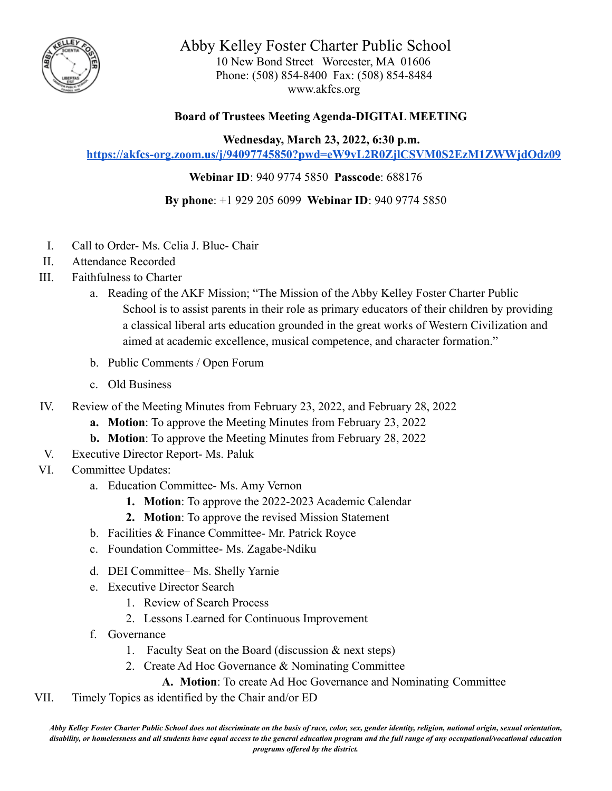

Abby Kelley Foster Charter Public School 10 New Bond Street Worcester, MA 01606 Phone: (508) 854-8400 Fax: (508) 854-8484 www.akfcs.org

## **Board of Trustees Meeting Agenda-DIGITAL MEETING**

**Wednesday, March 23, 2022, 6:30 p.m.**

**<https://akfcs-org.zoom.us/j/94097745850?pwd=eW9vL2R0ZjlCSVM0S2EzM1ZWWjdOdz09>**

**Webinar ID**: 940 9774 5850 **Passcode**: 688176

**By phone**: +1 929 205 6099 **Webinar ID**: 940 9774 5850

- I. Call to Order- Ms. Celia J. Blue- Chair
- II. Attendance Recorded
- III. Faithfulness to Charter
	- a. Reading of the AKF Mission; "The Mission of the Abby Kelley Foster Charter Public School is to assist parents in their role as primary educators of their children by providing a classical liberal arts education grounded in the great works of Western Civilization and aimed at academic excellence, musical competence, and character formation."
	- b. Public Comments / Open Forum
	- c. Old Business
- IV. Review of the Meeting Minutes from February 23, 2022, and February 28, 2022
	- **a. Motion**: To approve the Meeting Minutes from February 23, 2022
	- **b. Motion**: To approve the Meeting Minutes from February 28, 2022
- V. Executive Director Report- Ms. Paluk
- VI. Committee Updates:
	- a. Education Committee- Ms. Amy Vernon
		- **1. Motion**: To approve the 2022-2023 Academic Calendar
		- **2. Motion**: To approve the revised Mission Statement
	- b. Facilities & Finance Committee- Mr. Patrick Royce
	- c. Foundation Committee- Ms. Zagabe-Ndiku
	- d. DEI Committee– Ms. Shelly Yarnie
	- e. Executive Director Search
		- 1. Review of Search Process
		- 2. Lessons Learned for Continuous Improvement
	- f. Governance
		- 1. Faculty Seat on the Board (discussion & next steps)
		- 2. Create Ad Hoc Governance & Nominating Committee
			- **A. Motion**: To create Ad Hoc Governance and Nominating Committee
- VII. Timely Topics as identified by the Chair and/or ED